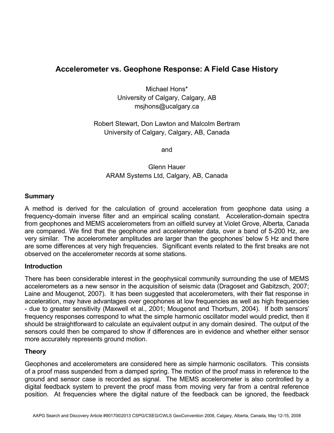# **Accelerometer vs. Geophone Response: A Field Case History**

Michael Hons\* University of Calgary, Calgary, AB msjhons@ucalgary.ca

Robert Stewart, Don Lawton and Malcolm Bertram University of Calgary, Calgary, AB, Canada

and

Glenn Hauer ARAM Systems Ltd, Calgary, AB, Canada

#### **Summary**

A method is derived for the calculation of ground acceleration from geophone data using a frequency-domain inverse filter and an empirical scaling constant. Acceleration-domain spectra from geophones and MEMS accelerometers from an oilfield survey at Violet Grove, Alberta, Canada are compared. We find that the geophone and accelerometer data, over a band of 5-200 Hz, are very similar. The accelerometer amplitudes are larger than the geophones' below 5 Hz and there are some differences at very high frequencies. Significant events related to the first breaks are not observed on the accelerometer records at some stations.

#### **Introduction**

There has been considerable interest in the geophysical community surrounding the use of MEMS accelerometers as a new sensor in the acquisition of seismic data (Dragoset and Gabitzsch, 2007; Laine and Mougenot, 2007). It has been suggested that accelerometers, with their flat response in acceleration, may have advantages over geophones at low frequencies as well as high frequencies - due to greater sensitivity (Maxwell et al., 2001; Mougenot and Thorburn, 2004). If both sensors' frequency responses correspond to what the simple harmonic oscillator model would predict, then it should be straightforward to calculate an equivalent output in any domain desired. The output of the sensors could then be compared to show if differences are in evidence and whether either sensor more accurately represents ground motion.

## **Theory**

Geophones and accelerometers are considered here as simple harmonic oscillators. This consists of a proof mass suspended from a damped spring. The motion of the proof mass in reference to the ground and sensor case is recorded as signal. The MEMS accelerometer is also controlled by a digital feedback system to prevent the proof mass from moving very far from a central reference position. At frequencies where the digital nature of the feedback can be ignored, the feedback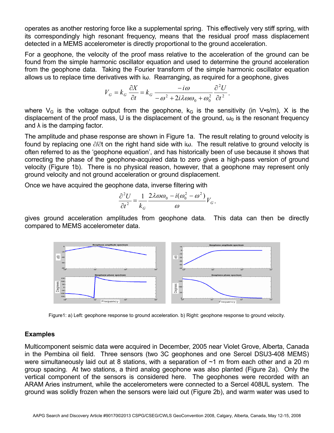operates as another restoring force like a supplemental spring. This effectively very stiff spring, with its correspondingly high resonant frequency, means that the residual proof mass displacement detected in a MEMS accelerometer is directly proportional to the ground acceleration.

For a geophone, the velocity of the proof mass relative to the acceleration of the ground can be found from the simple harmonic oscillator equation and used to determine the ground acceleration from the geophone data. Taking the Fourier transform of the simple harmonic oscillator equation allows us to replace time derivatives with iω. Rearranging, as required for a geophone, gives

$$
V_G = k_G \frac{\partial X}{\partial t} = k_G \frac{-i\omega}{-\omega^2 + 2i\lambda\omega\omega_0 + \omega_0^2} \frac{\partial^2 U}{\partial t^2},
$$

where  $V_G$  is the voltage output from the geophone,  $k_G$  is the sensitivity (in V•s/m), X is the displacement of the proof mass, U is the displacement of the ground,  $\omega_0$  is the resonant frequency and  $\lambda$  is the damping factor.

The amplitude and phase response are shown in Figure 1a. The result relating to ground velocity is found by replacing one ∂/∂t on the right hand side with iω. The result relative to ground velocity is often referred to as the 'geophone equation', and has historically been of use because it shows that correcting the phase of the geophone-acquired data to zero gives a high-pass version of ground velocity (Figure 1b). There is no physical reason, however, that a geophone may represent only ground velocity and not ground acceleration or ground displacement.

Once we have acquired the geophone data, inverse filtering with

$$
\frac{\partial^2 U}{\partial t^2} = \frac{1}{k_G} \frac{2\lambda \omega \omega_0 - i(\omega_0^2 - \omega^2)}{\omega} V_G,
$$

gives ground acceleration amplitudes from geophone data. This data can then be directly compared to MEMS accelerometer data.



Figure1: a) Left: geophone response to ground acceleration. b) Right: geophone response to ground velocity.

## **Examples**

Multicomponent seismic data were acquired in December, 2005 near Violet Grove, Alberta, Canada in the Pembina oil field. Three sensors (two 3C geophones and one Sercel DSU3-408 MEMS) were simultaneously laid out at 8 stations, with a separation of  $\sim$ 1 m from each other and a 20 m group spacing. At two stations, a third analog geophone was also planted (Figure 2a). Only the vertical component of the sensors is considered here. The geophones were recorded with an ARAM Aries instrument, while the accelerometers were connected to a Sercel 408UL system. The ground was solidly frozen when the sensors were laid out (Figure 2b), and warm water was used to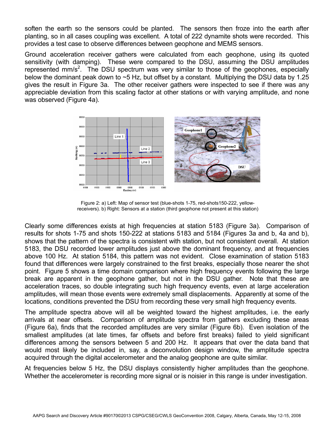soften the earth so the sensors could be planted. The sensors then froze into the earth after planting, so in all cases coupling was excellent. A total of 222 dynamite shots were recorded. This provides a test case to observe differences between geophone and MEMS sensors.

Ground acceleration receiver gathers were calculated from each geophone, using its quoted sensitivity (with damping). These were compared to the DSU, assuming the DSU amplitudes represented  $mm/s<sup>2</sup>$ . The DSU spectrum was very similar to those of the geophones, especially below the dominant peak down to ~5 Hz, but offset by a constant. Multiplying the DSU data by 1.25 gives the result in Figure 3a. The other receiver gathers were inspected to see if there was any appreciable deviation from this scaling factor at other stations or with varying amplitude, and none was observed (Figure 4a).



Figure 2: a) Left: Map of sensor test (blue-shots 1-75, red-shots150-222, yellowreceivers). b) Right: Sensors at a station (third geophone not present at this station)

Clearly some differences exists at high frequencies at station 5183 (Figure 3a). Comparison of results for shots 1-75 and shots 150-222 at stations 5183 and 5184 (Figures 3a and b, 4a and b), shows that the pattern of the spectra is consistent with station, but not consistent overall. At station 5183, the DSU recorded lower amplitudes just above the dominant frequency, and at frequencies above 100 Hz. At station 5184, this pattern was not evident. Close examination of station 5183 found that differences were largely constrained to the first breaks, especially those nearer the shot point. Figure 5 shows a time domain comparison where high frequency events following the large break are apparent in the geophone gather, but not in the DSU gather. Note that these are acceleration traces, so double integrating such high frequency events, even at large acceleration amplitudes, will mean those events were extremely small displacements. Apparently at some of the locations, conditions prevented the DSU from recording these very small high frequency events.

The amplitude spectra above will all be weighted toward the highest amplitudes, i.e. the early arrivals at near offsets. Comparison of amplitude spectra from gathers excluding these areas (Figure 6a), finds that the recorded amplitudes are very similar (Figure 6b). Even isolation of the smallest amplitudes (at late times, far offsets and before first breaks) failed to yield significant differences among the sensors between 5 and 200 Hz. It appears that over the data band that would most likely be included in, say, a deconvolution design window, the amplitude spectra acquired through the digital accelerometer and the analog geophone are quite similar.

At frequencies below 5 Hz, the DSU displays consistently higher amplitudes than the geophone. Whether the accelerometer is recording more signal or is noisier in this range is under investigation.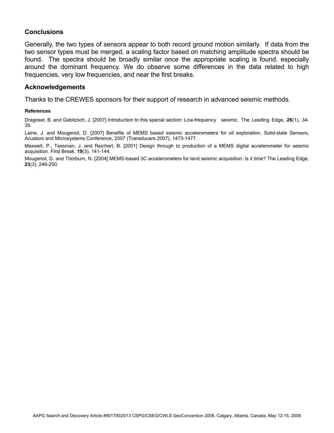### **Conclusions**

Generally, the two types of sensors appear to both record ground motion similarly. If data from the two sensor types must be merged, a scaling factor based on matching amplitude spectra should be found. The spectra should be broadly similar once the appropriate scaling is found, especially around the dominant frequency. We do observe some differences in the data related to high frequencies, very low frequencies, and near the first breaks.

#### **Acknowledgements**

Thanks to the CREWES sponsors for their support of research in advanced seismic methods.

#### **References**

Dragoset, B. and Gabitzsch, J. [2007] Introduction to this special section: Low-frequency seismic. The Leading Edge, **26**(1), 34- 35.

Laine, J. and Mougenot, D. [2007] Benefits of MEMS based seismic accelerometers for oil exploration. Solid-state Sensors, Acuators and Microsystems Conference, 2007 (Transducers 2007), 1473-1477.

Maxwell, P., Tessman, J. and Reichert, B. [2001] Design through to production of a MEMS digital accelerometer for seismic acquisition. First Break, **19**(3), 141-144.

Mougenot, D. and Thorburn, N. [2004] MEMS-based 3C accelerometers for land seismic acquisition: Is it time? The Leading Edge, **23**(3), 246-250.